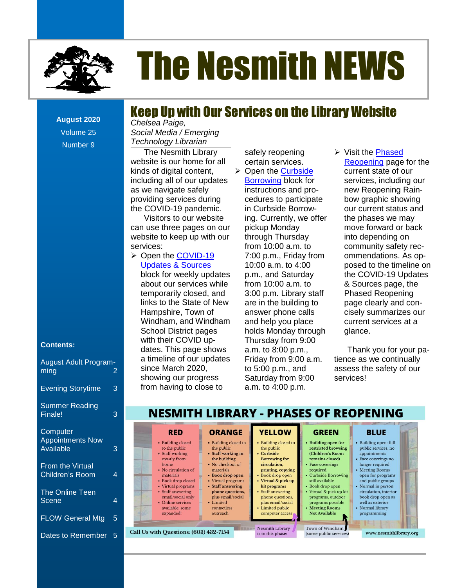

# The Nesmith NEWS

## Keep Up with Our Services on the Library Website

**August 2020** Volume 25 Number 9

#### **Contents:**

| <b>August Adult Program-</b><br>ming                    | 2 |
|---------------------------------------------------------|---|
| <b>Evening Storytime</b>                                | 3 |
| <b>Summer Reading</b><br>Finale!                        | 3 |
| Computer<br><b>Appointments Now</b><br><b>Available</b> | 3 |
| <b>From the Virtual</b><br><b>Children's Room</b>       | 4 |
| <b>The Online Teen</b><br>Scene                         | 4 |
| <b>FLOW General Mtg</b>                                 | 5 |
| Dates to Remember                                       | 5 |

**Contents** *Technology Librarian Chelsea Paige, Social Media / Emerging* 

including all of our updates **Borrowing block for** services, including our The Nesmith Library website is our home for all kinds of digital content, as we navigate safely providing services during the COVID-19 pandemic.

[Dates to Remember............................................................................................................................................................................2](file:///C:/Users/Joyce/Documents/Nesmith/2013/Feb%202013/NN02_13.doc%23_Toc347430559) website to keep up with our Visitors to our website can use three pages on our services:

**Contents** block for weekly updates ➢ Open the [COVID-19](https://nesmithlibrary.org/slider/2019/01/12/covid-19-updates-sources)  [Updates & Sources](https://nesmithlibrary.org/slider/2019/01/12/covid-19-updates-sources) about our services while temporarily closed, and links to the State of New Hampshire, Town of School District pages with their COVID updates. This page shows a timeline of our updates since March 2020, showing our progress from having to close to

safely reopening certain services.

- hool District pages holds Monday through glance. h their COVID up- Thursday from 9:00 Borrowing block for instructions and proin Curbside Borrowpickup Monday through Thursday from 10:00 a.m. to 7:00 p.m., Friday from 10:00 a.m. to 4:00 p.m., and Saturday from 10:00 a.m. to are in the building to answer phone calls and help you place a.m. to 8:00 p.m., Friday from 9:00 a.m. to 5:00 p.m., and Saturday from 9:00 a.m. to 4:00 p.m.
- The Nesmith NEWS [...............................................................................................................................................................................1](file:///C:/Users/Joyce/Documents/Nesmith/2013/Feb%202013/NN02_13.doc%23_Toc347430548) te is our home for all certain services. The Reopening page for the of digital content,  $\triangleright$  Open the Curbside current state of our s [..........................................................................................................................................................](file:///C:/Users/Joyce/Documents/Nesmith/2013/Feb%202013/NN02_13.doc%23_Toc347430552) **Error! Bookmark not defined.** new Reopening Rain-The Reference Corner: Political Corners and Pro-<br>Executive Corners in Bookmark not defined. ling services during http://wedures to participate how graphic showing [Take the Digital Challenge..................................................................................................................](file:///C:/Users/Joyce/Documents/Nesmith/2013/Feb%202013/NN02_13.doc%23_Toc347430555) **Error! Bookmark not defined.** our current status and sitors to our website ing. Currently, we offer the phases we may se three pages on our pickup Monday **Error in the set of the pages on our** [New Non-Fiction Titles in the Children's Room...................................................................................](file:///C:/Users/Joyce/Documents/Nesmith/2013/Feb%202013/NN02_13.doc%23_Toc347430558) **Error! Bookmark not defined.** bout our services write  $\blacksquare$  norm to our alm.ru nporarily closed, and action p.m. Library staff and Phased Reopening ks to the State of New are in the building to energie clearly and conmpshire, Town of answer phone calls cisely summarizes our Windham, and Windham and help you place current services at a [The Reference Corner: Pollution.........................................................................................................](file:///C:/Users/Joyce/Documents/Nesmith/2013/Feb%202013/NN02_13.doc%23_Toc347430583) **Error! Bookmark not defined.** ➢ Visit the [Phased](https://nesmithlibrary.org/phased-reopening)  current state of our services, including our bow graphic showing the phases we may into depending on community safety recommendations. As opposed to the timeline on the COVID-19 Updates & Sources page, the Phased Reopening current services at a glance.

tes. This page shows a.m. to 8:00 p.m., Thank you for your paimeline of our updates Friday from 9:00 a.m. tience as we continually [New Non-Fiction Titles in the Children's Room...................................................................................](file:///C:/Users/Joyce/Documents/Nesmith/2013/Feb%202013/NN02_13.doc%23_Toc347430588) **Error! Bookmark not defined.** assess the safety of our  $C_{\rm E}$  Material 2020,  $0.00$  p.m., and assess the salety of Our services!

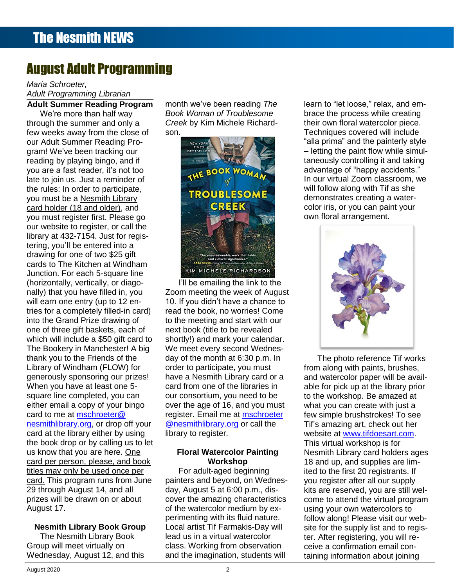# August Adult Programming

#### **Contents Adult Summer Reading Program** *Maria Schroeter, Adult Programming Librarian*

few weeks away from the close of son.<br> **Example 1999** Techniques covered will include Toddler Story Time [..............................................................................................................................](file:///C:/Users/Joyce/Documents/Nesmith/2013/Feb%202013/NN02_13.doc%23_Toc347430557)**Error! Bookmark not defined.** late to join us. Just a reminder of **Contents** library at 432-7154. Just for registering, you'll be entered into a the state of the state of the state of the state of the state of the state of drawing for one of two \$25 gift **Exercise Accessories were not having** the second and the second of two seconds of two seconds and the second of two seconds are two seconds of two seconds of two seconds are two seconds of Dreams [................................................................................................................................................](file:///C:/Users/Joyce/Documents/Nesmith/2013/Feb%202013/NN02_13.doc%23_Toc347430580)**Error! Bookmark not defined.** cards to The Kitchen at Windham [s...........................................................................................................................................................](file:///C:/Users/Joyce/Documents/Nesmith/2013/Feb%202013/NN02_13.doc%23_Toc347430582)**Error! Bookmark not defined.** Junction. For each 5-square line which will fictude a 350 gift card to<br>The Bookery in Manchester! A big We're more than half way through the summer and only a our Adult Summer Reading Program! We've been tracking our reading by playing bingo, and if you are a fast reader, it's not too the rules: In order to participate, you must be a Nesmith Library card holder (18 and older), and you must register first. Please go our website to register, or call the (horizontally, vertically, or diagonally) that you have filled in, you will earn one entry (up to 12 entries for a completely filled-in card) into the Grand Prize drawing of one of three gift baskets, each of which will include a \$50 gift card to thank you to the Friends of the Library of Windham (FLOW) for generously sponsoring our prizes! When you have at least one 5 square line completed, you can either email a copy of your bingo card to me at [mschroeter@](mailto:mschroeter@nesmithlibrary.org) [nesmithlibrary.org,](mailto:mschroeter@nesmithlibrary.org) or drop off your card at the library either by using the book drop or by calling us to let us know that you are here. One card per person, please, and book titles may only be used once per card. This program runs from June 29 through August 14, and all prizes will be drawn on or about August 17.

#### **Nesmith Library Book Group**

The Nesmith Library Book Group will meet virtually on Wednesday, August 12, and this month we've been reading *The Book Woman of Troublesome Creek* by Kim Michele Richardson.



ontally, vertically, or diago-<br> **I'll be emailing the link to the Error of the link of the link is a structure of the link of the link of the link of the link of the link of the link of the link of the link of the link o** that you have filled in, you Zoom meeting the week of August arn one entry (up to 12 en-<br>
10. If you didn't have a chance to **the final of the final of the final of the state of the state of the state o** [From the Children's Room: February Vacation Programs](file:///C:/Users/Joyce/Documents/Nesmith/2013/Feb%202013/NN02_13.doc%23_Toc347430586) ...................................................................**Error! Bookmark not defined.** or a completely filled-in card) cread the book, no worries! Come and the story of the poor and the book, no worries! Come New Non-Fiction Titles in the Children's Room [...................................................................................](file:///C:/Users/Joyce/Documents/Nesmith/2013/Feb%202013/NN02_13.doc%23_Toc347430588)**Error! Bookmark not defined.** to the meeting and start with our f three gift baskets, each of next book (title to be revealed **next all contained by a set of the set of the set o** shortly!) and mark your calendar. We meet every second Wednesday of the month at 6:30 p.m. In order to participate, you must have a Nesmith Library card or a card from one of the libraries in our consortium, you need to be over the age of 16, and you must register. Email me at [mschroeter](mailto:mschroeter@nesmithlibrary.org) [@nesmithlibrary.org](mailto:mschroeter@nesmithlibrary.org) or call the library to register.

#### **Floral Watercolor Painting Workshop**

For adult-aged beginning painters and beyond, on Wednesday, August 5 at 6:00 p.m., discover the amazing characteristics of the watercolor medium by experimenting with its fluid nature. Local artist Tif Farmakis-Day will lead us in a virtual watercolor class. Working from observation and the imagination, students will

We're more than half way **Book Woman of Troublesome** brace the process while creating gh the summer and only a **Creek by Kim Michele Richard** their own floral watercolor piece. Dreams [................................................................................................................................................](file:///C:/Users/Joyce/Documents/Nesmith/2013/Feb%202013/NN02_13.doc%23_Toc347430550)**Error! Bookmark not defined.** Techniques covered will include dult Summer Reading Pro-<br> **Example 2008 And Contract Act of the painterly style** style We've been tracking our **Exercitive Corner of the State of Alliance** - letting the paint flow while simulup by playing bingo, and if **the second of the second of the second and taking** the second of the second of the second of the second of the second of the second of the second of the second of the second of the second of th The Digital Challenge. The Digital Challenge.<br>The a fast reader, it's not too les: In order to participate, **Error in the Children's Children's Annual Children's Annual Children's Children's Annual Children's Annual Children's Annual Children's She** [Dates to Remember............................................................................................................................................................................](file:///C:/Users/Joyce/Documents/Nesmith/2013/Feb%202013/NN02_13.doc%23_Toc347430559) 2 demonstrates creating a waterlearn to "let loose," relax, and em-In our virtual Zoom classroom, we color iris, or you can paint your own floral arrangement.



The photo reference Tif works from along with paints, brushes, and watercolor paper will be available for pick up at the library prior to the workshop. Be amazed at what you can create with just a few simple brushstrokes! To see Tif's amazing art, check out her website at [www.tifdoesart.com.](http://www.tifdoesart.com/) This virtual workshop is for Nesmith Library card holders ages 18 and up, and supplies are limited to the first 20 registrants. If you register after all our supply kits are reserved, you are still welcome to attend the virtual program using your own watercolors to follow along! Please visit our website for the supply list and to register. After registering, you will receive a confirmation email containing information about joining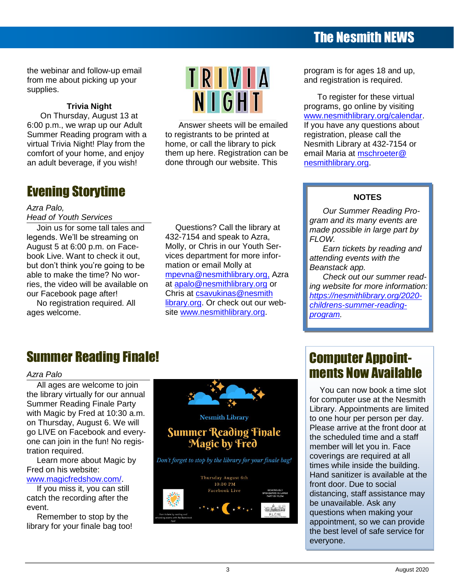# The Nesmith NEWS

the webinar and follow-up email from me about picking up your supplies.

### **Trivia Night**

On Thursday, August 13 at 6:00 p.m., we wrap up our Adult Summer Reading program with a virtual Trivia Night! Play from the comfort of your home, and enjoy an adult beverage, if you wish!

# Evening Storytime

## *Azra Palo,*

## *Head of Youth Services*

Join us for some tall tales and legends. We'll be streaming on August 5 at 6:00 p.m. on Facebook Live. Want to check it out, but don't think you're going to be able to make the time? No worries, the video will be available on our Facebook page after!

No registration required. All ages welcome.



Answer sheets will be emailed to registrants to be printed at home, or call the library to pick them up here. Registration can be done through our website. This

Questions? Call the library at 432-7154 and speak to Azra, Molly, or Chris in our Youth Services department for more infor-

[mpevna@nesmithlibrary.org,](mailto:mpevna@nesmithlibrary.org,) Azra at [apalo@nesmithlibrary.org](mailto:apalo@nesmithlibrary.org) or Chris at [csavukinas@nesmith](mailto:csavukinas@nesmithlibrary.org) [library.org.](mailto:csavukinas@nesmithlibrary.org) Or check out our website [www.nesmithlibrary.org.](http://www.nesmithlibrary.org/)

mation or email Molly at

program is for ages 18 and up, and registration is required.

To register for these virtual programs, go online by visiting [www.nesmithlibrary.org/calendar.](http://www.nesmithlibrary.org/calendar) If you have any questions about registration, please call the Nesmith Library at 432-7154 or email Maria at [mschroeter@](mailto:mschroeter@nesmithlibrary.org) [nesmithlibrary.org.](mailto:mschroeter@nesmithlibrary.org)

## **NOTES**

*Our Summer Reading Program and its many events are made possible in large part by FLOW.*

*Earn tickets by reading and attending events with the Beanstack app.*

*Check out our summer reading website for more information: [https://nesmithlibrary.org/2020](https://nesmithlibrary.org/2020-childrens-summer-reading-program) [childrens-summer-reading](https://nesmithlibrary.org/2020-childrens-summer-reading-program)[program.](https://nesmithlibrary.org/2020-childrens-summer-reading-program)*

## Summer Reading Finale!

#### *Azra Palo*

All ages are welcome to join the library virtually for our annual Summer Reading Finale Party with Magic by Fred at 10:30 a.m. on Thursday, August 6. We will go LIVE on Facebook and everyone can join in the fun! No registration required.

Learn more about Magic by Fred on his website:

[www.magicfredshow.com/.](http://www.magicfredshow.com/)

If you miss it, you can still catch the recording after the event.

Remember to stop by the library for your finale bag too!



## Computer Appointments Now Available

You can now book a time slot for computer use at the Nesmith Library. Appointments are limited to one hour per person per day. Please arrive at the front door at the scheduled time and a staff member will let you in. Face coverings are required at all times while inside the building. Hand sanitizer is available at the front door. Due to social distancing, staff assistance may be unavailable. Ask any questions when making your appointment, so we can provide the best level of safe service for everyone.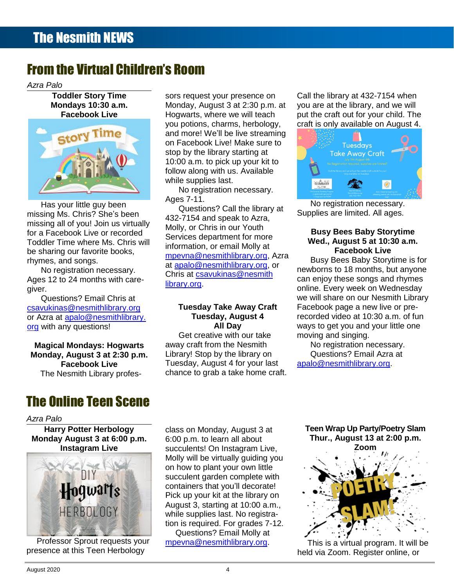# From the Virtual Children's Room

*Azra Palo*

**Toddler Story Time Mondays 10:30 a.m. Facebook Live**



Has your little guy been missing Ms. Chris? She's been missing all of you! Join us virtually for a Facebook Live or recorded Toddler Time where Ms. Chris will be sharing our favorite books, rhymes, and songs.

No registration necessary. Ages 12 to 24 months with caregiver.

Questions? Email Chris at [csavukinas@nesmithlibrary.org](mailto:csavukinas@nesmithlibrary.org) or Azra at [apalo@nesmithlibrary.](mailto:apalo@nesmithlibrary.org) [org](mailto:apalo@nesmithlibrary.org) with any questions!

**Magical Mondays: Hogwarts Monday, August 3 at 2:30 p.m. Facebook Live** The Nesmith Library profes-

# The Online Teen Scene

*Azra Palo*

**Harry Potter Herbology Monday August 3 at 6:00 p.m. Instagram Live**



Professor Sprout requests your presence at this Teen Herbology

sors request your presence on Monday, August 3 at 2:30 p.m. at Hogwarts, where we will teach you potions, charms, herbology, and more! We'll be live streaming on Facebook Live! Make sure to stop by the library starting at 10:00 a.m. to pick up your kit to follow along with us. Available while supplies last.

No registration necessary. Ages 7-11.

Questions? Call the library at 432-7154 and speak to Azra, Molly, or Chris in our Youth Services department for more information, or email Molly at [mpevna@nesmithlibrary.org,](mailto:mpevna@nesmithlibrary.org) Azra at [apalo@nesmithlibrary.org,](mailto:apalo@nesmithlibrary.org) or Chris at [csavukinas@nesmith](mailto:csavukinas@nesmithlibrary.org) [library.org.](mailto:csavukinas@nesmithlibrary.org)

#### **Tuesday Take Away Craft Tuesday, August 4 All Day**

Get creative with our take away craft from the Nesmith Library! Stop by the library on Tuesday, August 4 for your last chance to grab a take home craft.

Call the library at 432-7154 when you are at the library, and we will put the craft out for your child. The craft is only available on August 4.



No registration necessary. Supplies are limited. All ages.

#### **Busy Bees Baby Storytime Wed., August 5 at 10:30 a.m. Facebook Live**

Busy Bees Baby Storytime is for newborns to 18 months, but anyone can enjoy these songs and rhymes online. Every week on Wednesday we will share on our Nesmith Library Facebook page a new live or prerecorded video at 10:30 a.m. of fun ways to get you and your little one moving and singing.

No registration necessary. Questions? Email Azra at [apalo@nesmithlibrary.org.](mailto:apalo@nesmithlibrary.org)

class on Monday, August 3 at 6:00 p.m. to learn all about succulents! On Instagram Live, Molly will be virtually guiding you on how to plant your own little succulent garden complete with containers that you'll decorate! Pick up your kit at the library on August 3, starting at 10:00 a.m., while supplies last. No registration is required. For grades 7-12. Questions? Email Molly at

[mpevna@nesmithlibrary.org.](mailto:mpevna@nesmithlibrary.org)

**Teen Wrap Up Party/Poetry Slam Thur., August 13 at 2:00 p.m.**



This is a virtual program. It will be held via Zoom. Register online, or